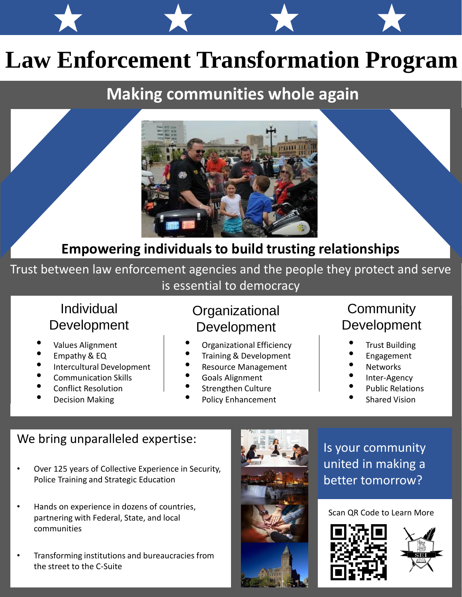# **Law Enforcement Transformation Program**

## **Making communities whole again**



### **Empowering individuals to build trusting relationships**

Trust between law enforcement agencies and the people they protect and serve is essential to democracy

#### Individual Development

- Values Alignment
- Empathy & EQ
- Intercultural Development
- Communication Skills
- Conflict Resolution
- Decision Making

#### **Organizational** Development

- Organizational Efficiency
- Training & Development
- Resource Management
- Goals Alignment
- Strengthen Culture
- Policy Enhancement

#### **Community** Development

- **Trust Building**
- Engagement
- **Networks**
- Inter-Agency
- Public Relations
- **Shared Vision**

#### We bring unparalleled expertise:

- Over 125 years of Collective Experience in Security, Police Training and Strategic Education
- Hands on experience in dozens of countries, partnering with Federal, State, and local communities
- Transforming institutions and bureaucracies from the street to the C-Suite



Is your community united in making a better tomorrow?

#### Scan QR Code to Learn More